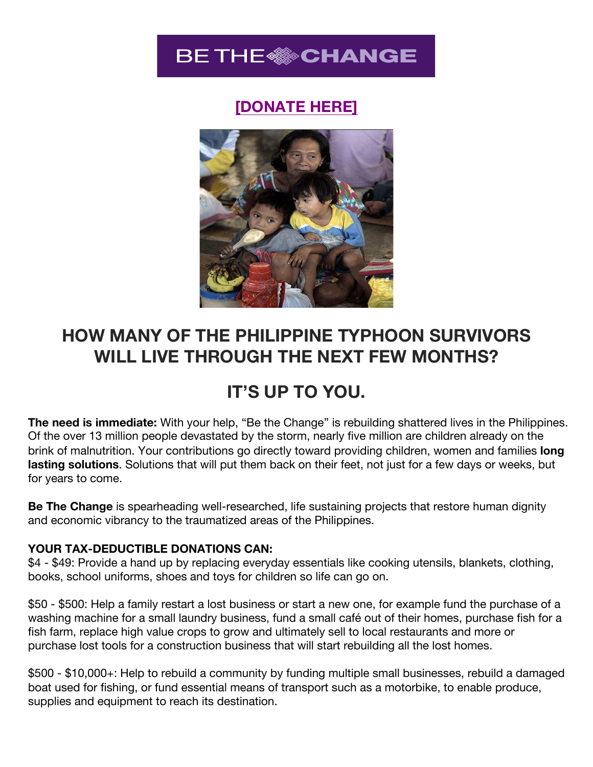

## **[\[DONATE HERE\]](https://worldbusiness.nationbuilder.com/be_the_change_philippines_relief_donation)**



# **HOW MANY OF THE PHILIPPINE TYPHOON SURVIVORS WILL LIVE THROUGH THE NEXT FEW MONTHS?**

## **IT'S UP TO YOU.**

**The need is immediate:** With your help, "Be the Change" is rebuilding shattered lives in the Philippines. Of the over 13 million people devastated by the storm, nearly five million are children already on the brink of malnutrition. Your contributions go directly toward providing children, women and families **long lasting solutions**. Solutions that will put them back on their feet, not just for a few days or weeks, but for years to come.

**Be The Change** is spearheading well-researched, life sustaining projects that restore human dignity and economic vibrancy to the traumatized areas of the Philippines.

#### **YOUR TAX-DEDUCTIBLE DONATIONS CAN:**

\$4 - \$49: Provide a hand up by replacing everyday essentials like cooking utensils, blankets, clothing, books, school uniforms, shoes and toys for children so life can go on.

\$50 - \$500: Help a family restart a lost business or start a new one, for example fund the purchase of a washing machine for a small laundry business, fund a small café out of their homes, purchase fish for a fish farm, replace high value crops to grow and ultimately sell to local restaurants and more or purchase lost tools for a construction business that will start rebuilding all the lost homes.

\$500 - \$10,000+: Help to rebuild a community by funding multiple small businesses, rebuild a damaged boat used for fishing, or fund essential means of transport such as a motorbike, to enable produce, supplies and equipment to reach its destination.